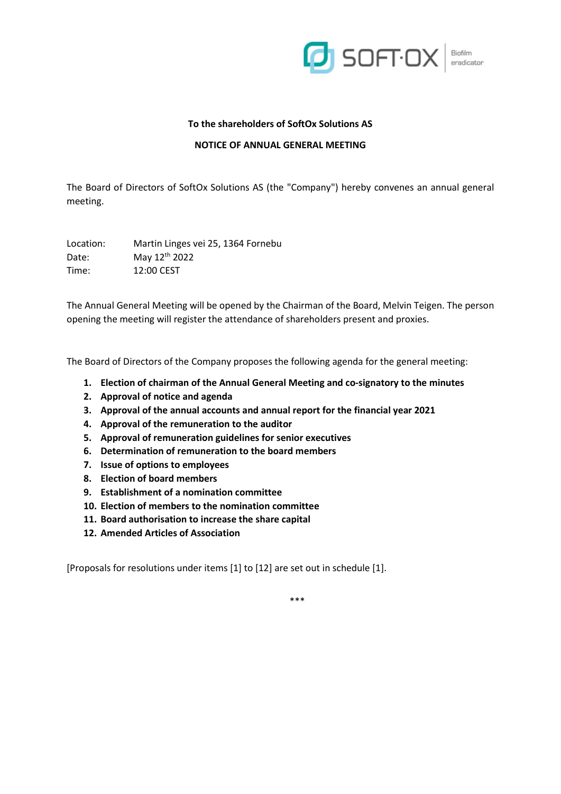

### To the shareholders of SoftOx Solutions AS

### NOTICE OF ANNUAL GENERAL MEETING

The Board of Directors of SoftOx Solutions AS (the "Company") hereby convenes an annual general meeting.

Location: Martin Linges vei 25, 1364 Fornebu Date: May 12<sup>th</sup> 2022 Time: 12:00 CEST

The Annual General Meeting will be opened by the Chairman of the Board, Melvin Teigen. The person opening the meeting will register the attendance of shareholders present and proxies.

The Board of Directors of the Company proposes the following agenda for the general meeting:

- 1. Election of chairman of the Annual General Meeting and co-signatory to the minutes
- 2. Approval of notice and agenda
- 3. Approval of the annual accounts and annual report for the financial year 2021
- 4. Approval of the remuneration to the auditor
- 5. Approval of remuneration guidelines for senior executives
- 6. Determination of remuneration to the board members
- 7. Issue of options to employees
- 8. Election of board members
- 9. Establishment of a nomination committee
- 10. Election of members to the nomination committee
- 11. Board authorisation to increase the share capital
- 12. Amended Articles of Association

[Proposals for resolutions under items [1] to [12] are set out in schedule [1].

\*\*\*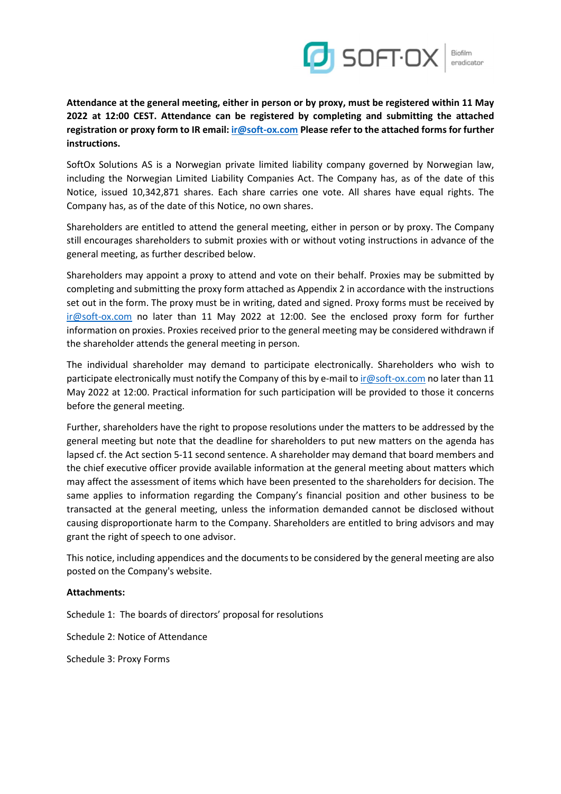

Biofilm eradicator

Attendance at the general meeting, either in person or by proxy, must be registered within 11 May 2022 at 12:00 CEST. Attendance can be registered by completing and submitting the attached registration or proxy form to IR email: ir@soft-ox.com Please refer to the attached forms for further instructions.

SoftOx Solutions AS is a Norwegian private limited liability company governed by Norwegian law, including the Norwegian Limited Liability Companies Act. The Company has, as of the date of this Notice, issued 10,342,871 shares. Each share carries one vote. All shares have equal rights. The Company has, as of the date of this Notice, no own shares.

Shareholders are entitled to attend the general meeting, either in person or by proxy. The Company still encourages shareholders to submit proxies with or without voting instructions in advance of the general meeting, as further described below.

Shareholders may appoint a proxy to attend and vote on their behalf. Proxies may be submitted by completing and submitting the proxy form attached as Appendix 2 in accordance with the instructions set out in the form. The proxy must be in writing, dated and signed. Proxy forms must be received by ir@soft-ox.com no later than 11 May 2022 at 12:00. See the enclosed proxy form for further information on proxies. Proxies received prior to the general meeting may be considered withdrawn if the shareholder attends the general meeting in person.

The individual shareholder may demand to participate electronically. Shareholders who wish to participate electronically must notify the Company of this by e-mail to ir@soft-ox.com no later than 11 May 2022 at 12:00. Practical information for such participation will be provided to those it concerns before the general meeting.

Further, shareholders have the right to propose resolutions under the matters to be addressed by the general meeting but note that the deadline for shareholders to put new matters on the agenda has lapsed cf. the Act section 5-11 second sentence. A shareholder may demand that board members and the chief executive officer provide available information at the general meeting about matters which may affect the assessment of items which have been presented to the shareholders for decision. The same applies to information regarding the Company's financial position and other business to be transacted at the general meeting, unless the information demanded cannot be disclosed without causing disproportionate harm to the Company. Shareholders are entitled to bring advisors and may grant the right of speech to one advisor.

This notice, including appendices and the documents to be considered by the general meeting are also posted on the Company's website.

# Attachments:

Schedule 1: The boards of directors' proposal for resolutions

Schedule 2: Notice of Attendance

Schedule 3: Proxy Forms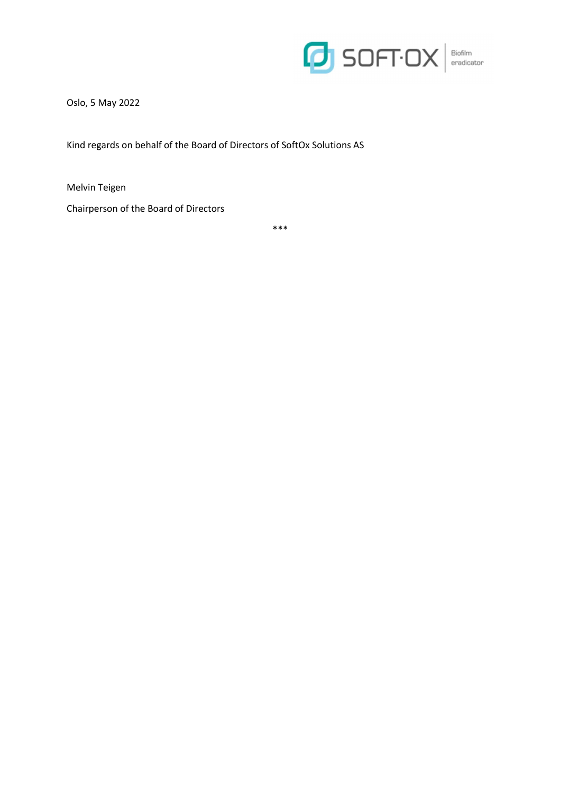

Oslo, 5 May 2022

Kind regards on behalf of the Board of Directors of SoftOx Solutions AS

Melvin Teigen

Chairperson of the Board of Directors

\*\*\*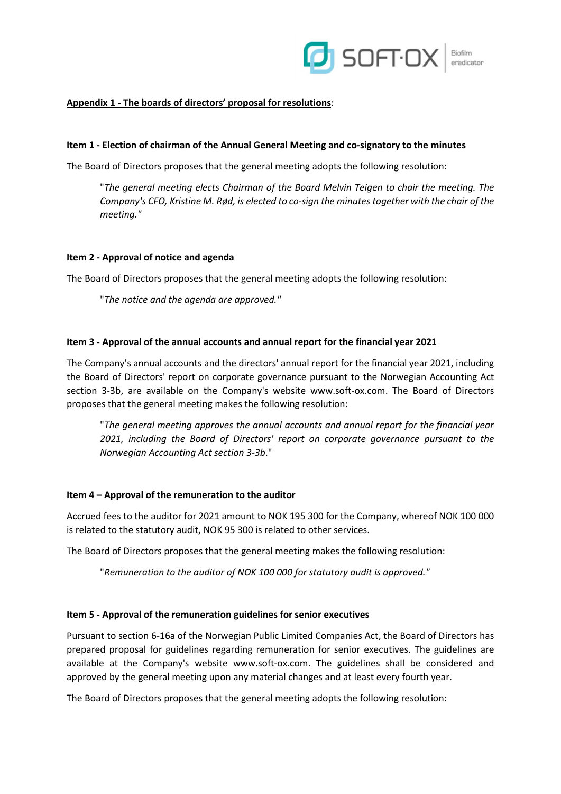

# Appendix 1 - The boards of directors' proposal for resolutions:

### Item 1 - Election of chairman of the Annual General Meeting and co-signatory to the minutes

The Board of Directors proposes that the general meeting adopts the following resolution:

"The general meeting elects Chairman of the Board Melvin Teigen to chair the meeting. The Company's CFO, Kristine M. Rød, is elected to co-sign the minutes together with the chair of the meeting."

#### Item 2 - Approval of notice and agenda

The Board of Directors proposes that the general meeting adopts the following resolution:

"The notice and the agenda are approved."

### Item 3 - Approval of the annual accounts and annual report for the financial year 2021

The Company's annual accounts and the directors' annual report for the financial year 2021, including the Board of Directors' report on corporate governance pursuant to the Norwegian Accounting Act section 3-3b, are available on the Company's website www.soft-ox.com. The Board of Directors proposes that the general meeting makes the following resolution:

"The general meeting approves the annual accounts and annual report for the financial year 2021, including the Board of Directors' report on corporate governance pursuant to the Norwegian Accounting Act section 3-3b."

#### Item 4 – Approval of the remuneration to the auditor

Accrued fees to the auditor for 2021 amount to NOK 195 300 for the Company, whereof NOK 100 000 is related to the statutory audit, NOK 95 300 is related to other services.

The Board of Directors proposes that the general meeting makes the following resolution:

"Remuneration to the auditor of NOK 100 000 for statutory audit is approved."

#### Item 5 - Approval of the remuneration guidelines for senior executives

Pursuant to section 6-16a of the Norwegian Public Limited Companies Act, the Board of Directors has prepared proposal for guidelines regarding remuneration for senior executives. The guidelines are available at the Company's website www.soft-ox.com. The guidelines shall be considered and approved by the general meeting upon any material changes and at least every fourth year.

The Board of Directors proposes that the general meeting adopts the following resolution: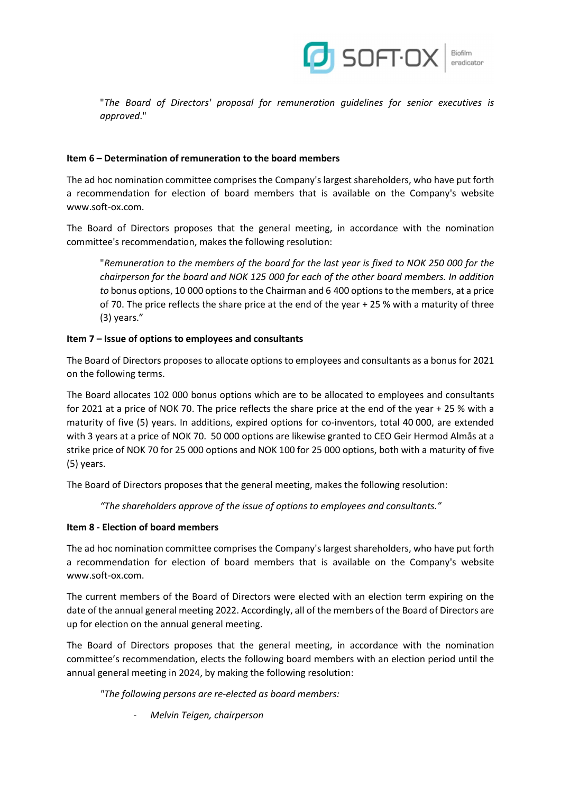

Biofilm

"The Board of Directors' proposal for remuneration guidelines for senior executives is approved."

# Item 6 – Determination of remuneration to the board members

The ad hoc nomination committee comprises the Company's largest shareholders, who have put forth a recommendation for election of board members that is available on the Company's website www.soft-ox.com.

The Board of Directors proposes that the general meeting, in accordance with the nomination committee's recommendation, makes the following resolution:

"Remuneration to the members of the board for the last year is fixed to NOK 250 000 for the chairperson for the board and NOK 125 000 for each of the other board members. In addition to bonus options, 10 000 options to the Chairman and 6 400 options to the members, at a price of 70. The price reflects the share price at the end of the year + 25 % with a maturity of three (3) years."

# Item 7 – Issue of options to employees and consultants

The Board of Directors proposes to allocate options to employees and consultants as a bonus for 2021 on the following terms.

The Board allocates 102 000 bonus options which are to be allocated to employees and consultants for 2021 at a price of NOK 70. The price reflects the share price at the end of the year + 25 % with a maturity of five (5) years. In additions, expired options for co-inventors, total 40 000, are extended with 3 years at a price of NOK 70. 50 000 options are likewise granted to CEO Geir Hermod Almås at a strike price of NOK 70 for 25 000 options and NOK 100 for 25 000 options, both with a maturity of five (5) years.

The Board of Directors proposes that the general meeting, makes the following resolution:

"The shareholders approve of the issue of options to employees and consultants."

# Item 8 - Election of board members

The ad hoc nomination committee comprises the Company's largest shareholders, who have put forth a recommendation for election of board members that is available on the Company's website www.soft-ox.com.

The current members of the Board of Directors were elected with an election term expiring on the date of the annual general meeting 2022. Accordingly, all of the members of the Board of Directors are up for election on the annual general meeting.

The Board of Directors proposes that the general meeting, in accordance with the nomination committee's recommendation, elects the following board members with an election period until the annual general meeting in 2024, by making the following resolution:

"The following persons are re-elected as board members:

Melvin Teigen, chairperson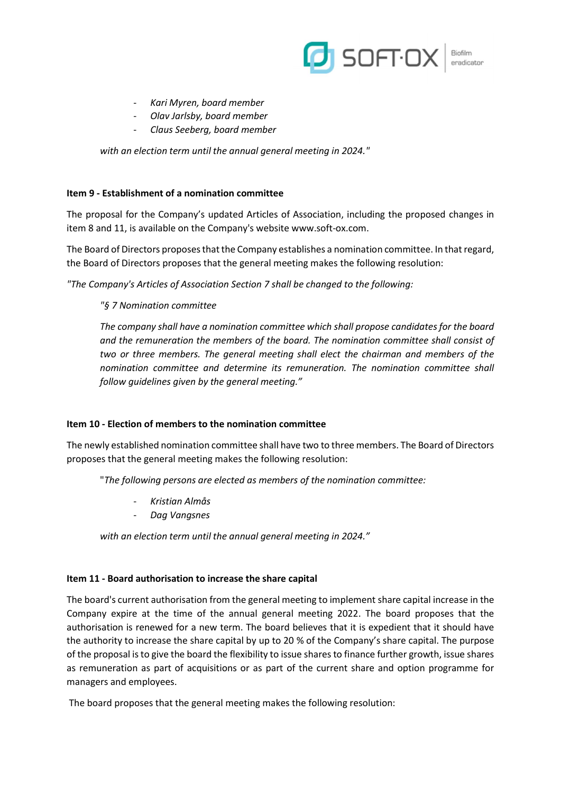

- Kari Myren, board member
- Olav Jarlsby, board member
- Claus Seeberg, board member

with an election term until the annual general meeting in 2024."

### Item 9 - Establishment of a nomination committee

The proposal for the Company's updated Articles of Association, including the proposed changes in item 8 and 11, is available on the Company's website www.soft-ox.com.

The Board of Directors proposes that the Company establishes a nomination committee. In that regard, the Board of Directors proposes that the general meeting makes the following resolution:

"The Company's Articles of Association Section 7 shall be changed to the following:

# "§ 7 Nomination committee

The company shall have a nomination committee which shall propose candidates for the board and the remuneration the members of the board. The nomination committee shall consist of two or three members. The general meeting shall elect the chairman and members of the nomination committee and determine its remuneration. The nomination committee shall follow guidelines given by the general meeting."

#### Item 10 - Election of members to the nomination committee

The newly established nomination committee shall have two to three members. The Board of Directors proposes that the general meeting makes the following resolution:

"The following persons are elected as members of the nomination committee:

- Kristian Almås
- Dag Vangsnes

with an election term until the annual general meeting in 2024."

#### Item 11 - Board authorisation to increase the share capital

The board's current authorisation from the general meeting to implement share capital increase in the Company expire at the time of the annual general meeting 2022. The board proposes that the authorisation is renewed for a new term. The board believes that it is expedient that it should have the authority to increase the share capital by up to 20 % of the Company's share capital. The purpose of the proposal is to give the board the flexibility to issue shares to finance further growth, issue shares as remuneration as part of acquisitions or as part of the current share and option programme for managers and employees.

The board proposes that the general meeting makes the following resolution: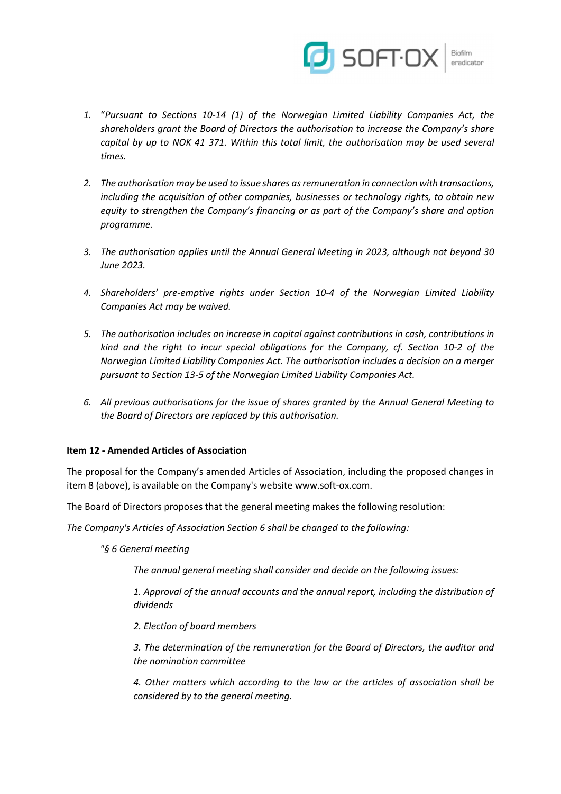

- 1. "Pursuant to Sections 10-14 (1) of the Norwegian Limited Liability Companies Act, the shareholders grant the Board of Directors the authorisation to increase the Company's share capital by up to NOK 41 371. Within this total limit, the authorisation may be used several times.
- 2. The authorisation may be used to issue shares as remuneration in connection with transactions, including the acquisition of other companies, businesses or technology rights, to obtain new equity to strengthen the Company's financing or as part of the Company's share and option programme.
- 3. The authorisation applies until the Annual General Meeting in 2023, although not beyond 30 June 2023.
- 4. Shareholders' pre-emptive rights under Section 10-4 of the Norwegian Limited Liability Companies Act may be waived.
- 5. The authorisation includes an increase in capital against contributions in cash, contributions in kind and the right to incur special obligations for the Company, cf. Section 10-2 of the Norwegian Limited Liability Companies Act. The authorisation includes a decision on a merger pursuant to Section 13-5 of the Norwegian Limited Liability Companies Act.
- 6. All previous authorisations for the issue of shares granted by the Annual General Meeting to the Board of Directors are replaced by this authorisation.

# Item 12 - Amended Articles of Association

The proposal for the Company's amended Articles of Association, including the proposed changes in item 8 (above), is available on the Company's website www.soft-ox.com.

The Board of Directors proposes that the general meeting makes the following resolution:

The Company's Articles of Association Section 6 shall be changed to the following:

"§ 6 General meeting

The annual general meeting shall consider and decide on the following issues:

1. Approval of the annual accounts and the annual report, including the distribution of dividends

2. Election of board members

3. The determination of the remuneration for the Board of Directors, the auditor and the nomination committee

4. Other matters which according to the law or the articles of association shall be considered by to the general meeting.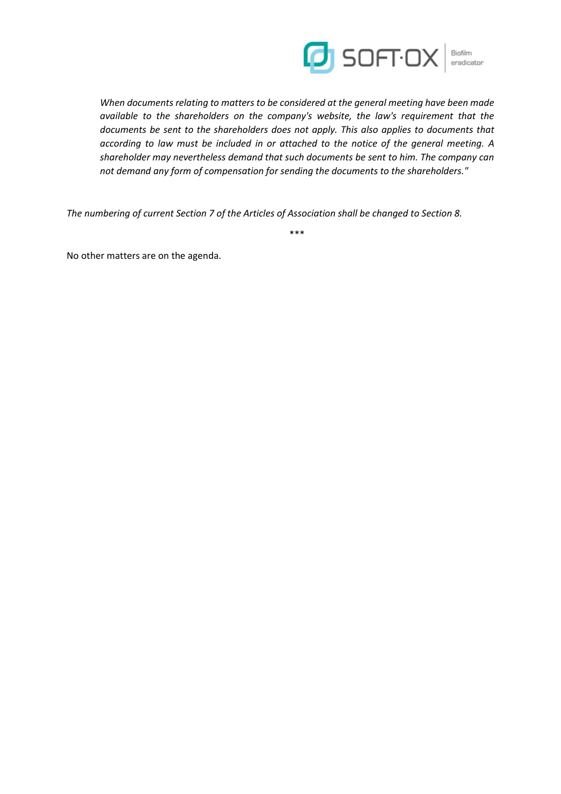

When documents relating to matters to be considered at the general meeting have been made available to the shareholders on the company's website, the law's requirement that the documents be sent to the shareholders does not apply. This also applies to documents that according to law must be included in or attached to the notice of the general meeting. A shareholder may nevertheless demand that such documents be sent to him. The company can not demand any form of compensation for sending the documents to the shareholders."

The numbering of current Section 7 of the Articles of Association shall be changed to Section 8.

\*\*\*

No other matters are on the agenda.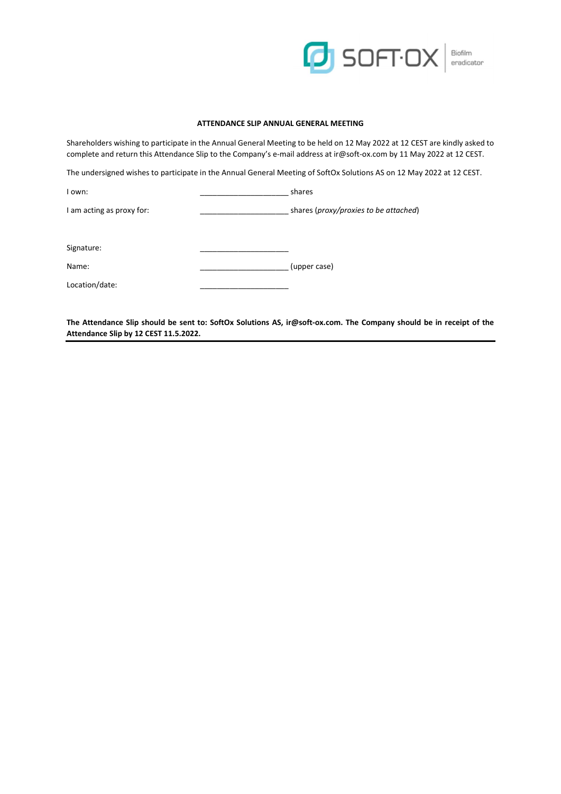

#### ATTENDANCE SLIP ANNUAL GENERAL MEETING

Shareholders wishing to participate in the Annual General Meeting to be held on 12 May 2022 at 12 CEST are kindly asked to complete and return this Attendance Slip to the Company's e-mail address at ir@soft-ox.com by 11 May 2022 at 12 CEST.

The undersigned wishes to participate in the Annual General Meeting of SoftOx Solutions AS on 12 May 2022 at 12 CEST.

I own:  $\blacksquare$ 

I am acting as proxy for: \_\_\_\_\_\_\_\_\_\_\_\_\_\_\_\_\_\_\_\_\_ shares (proxy/proxies to be attached)

Signature:

Name: \_\_\_\_\_\_\_\_\_\_\_\_\_\_\_\_\_\_\_\_\_ (upper case)

Location/date:

The Attendance Slip should be sent to: SoftOx Solutions AS, ir@soft-ox.com. The Company should be in receipt of the Attendance Slip by 12 CEST 11.5.2022.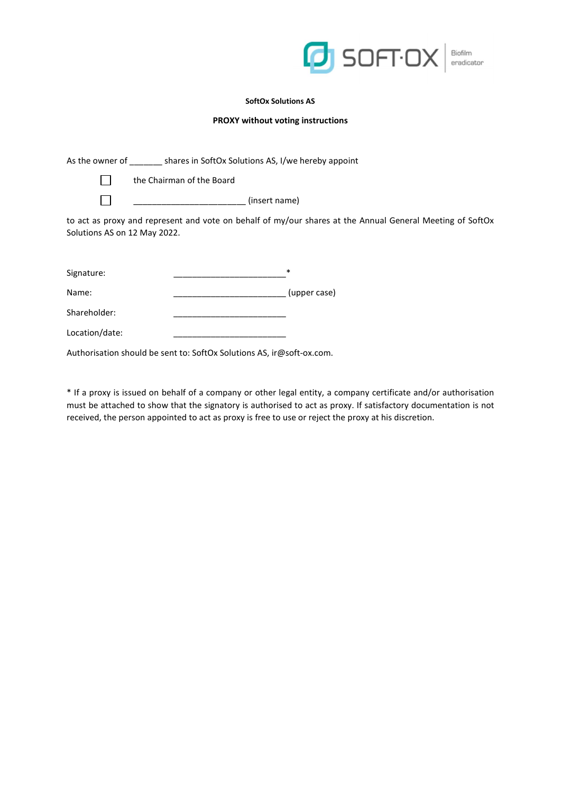

#### SoftOx Solutions AS

#### PROXY without voting instructions

|                                                                                                                                           | As the owner of shares in SoftOx Solutions AS, I/we hereby appoint    |  |  |  |  |
|-------------------------------------------------------------------------------------------------------------------------------------------|-----------------------------------------------------------------------|--|--|--|--|
|                                                                                                                                           | the Chairman of the Board                                             |  |  |  |  |
|                                                                                                                                           | (insert name)                                                         |  |  |  |  |
| to act as proxy and represent and vote on behalf of my/our shares at the Annual General Meeting of SoftOx<br>Solutions AS on 12 May 2022. |                                                                       |  |  |  |  |
| Signature:                                                                                                                                | *                                                                     |  |  |  |  |
| Name:                                                                                                                                     | (upper case)                                                          |  |  |  |  |
| Shareholder:                                                                                                                              |                                                                       |  |  |  |  |
| Location/date:                                                                                                                            |                                                                       |  |  |  |  |
|                                                                                                                                           | Authorisation should be sent to: SoftOx Solutions AS, ir@soft-ox.com. |  |  |  |  |

\* If a proxy is issued on behalf of a company or other legal entity, a company certificate and/or authorisation must be attached to show that the signatory is authorised to act as proxy. If satisfactory documentation is not received, the person appointed to act as proxy is free to use or reject the proxy at his discretion.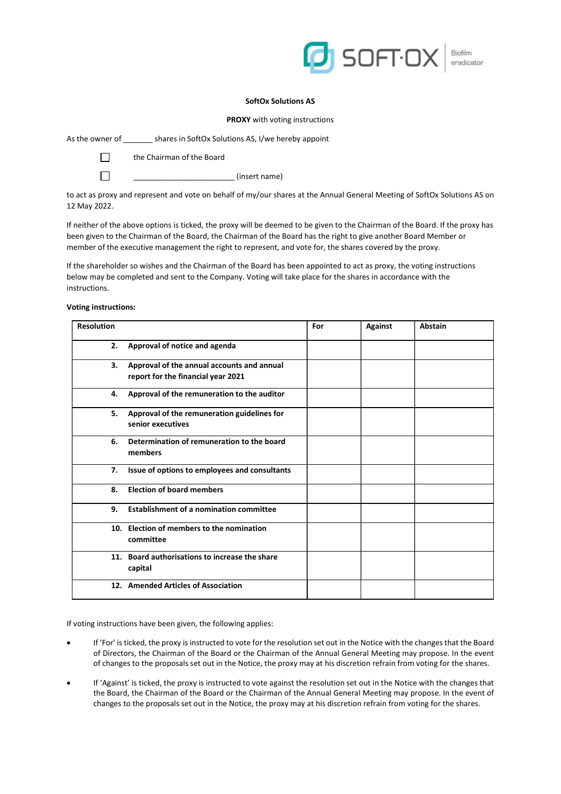

Biofilm eradicator

#### SoftOx Solutions AS

PROXY with voting instructions

As the owner of \_\_\_\_\_\_\_ shares in SoftOx Solutions AS, I/we hereby appoint

**The Chairman of the Board** 

 $\Box$  (insert name)

to act as proxy and represent and vote on behalf of my/our shares at the Annual General Meeting of SoftOx Solutions AS on 12 May 2022.

If neither of the above options is ticked, the proxy will be deemed to be given to the Chairman of the Board. If the proxy has been given to the Chairman of the Board, the Chairman of the Board has the right to give another Board Member or member of the executive management the right to represent, and vote for, the shares covered by the proxy.

If the shareholder so wishes and the Chairman of the Board has been appointed to act as proxy, the voting instructions below may be completed and sent to the Company. Voting will take place for the shares in accordance with the instructions.

#### Voting instructions:

| <b>Resolution</b> |                                                                                  | For | <b>Against</b> | <b>Abstain</b> |
|-------------------|----------------------------------------------------------------------------------|-----|----------------|----------------|
| 2.                | Approval of notice and agenda                                                    |     |                |                |
| З.                | Approval of the annual accounts and annual<br>report for the financial year 2021 |     |                |                |
| 4.                | Approval of the remuneration to the auditor                                      |     |                |                |
| 5.                | Approval of the remuneration guidelines for<br>senior executives                 |     |                |                |
| 6.                | Determination of remuneration to the board<br>members                            |     |                |                |
| 7.                | Issue of options to employees and consultants                                    |     |                |                |
| 8.                | <b>Election of board members</b>                                                 |     |                |                |
| 9.                | <b>Establishment of a nomination committee</b>                                   |     |                |                |
|                   | 10. Election of members to the nomination<br>committee                           |     |                |                |
|                   | 11. Board authorisations to increase the share<br>capital                        |     |                |                |
|                   | 12. Amended Articles of Association                                              |     |                |                |

If voting instructions have been given, the following applies:

- If 'For' is ticked, the proxy is instructed to vote for the resolution set out in the Notice with the changes that the Board of Directors, the Chairman of the Board or the Chairman of the Annual General Meeting may propose. In the event of changes to the proposals set out in the Notice, the proxy may at his discretion refrain from voting for the shares.
- If 'Against' is ticked, the proxy is instructed to vote against the resolution set out in the Notice with the changes that the Board, the Chairman of the Board or the Chairman of the Annual General Meeting may propose. In the event of changes to the proposals set out in the Notice, the proxy may at his discretion refrain from voting for the shares.